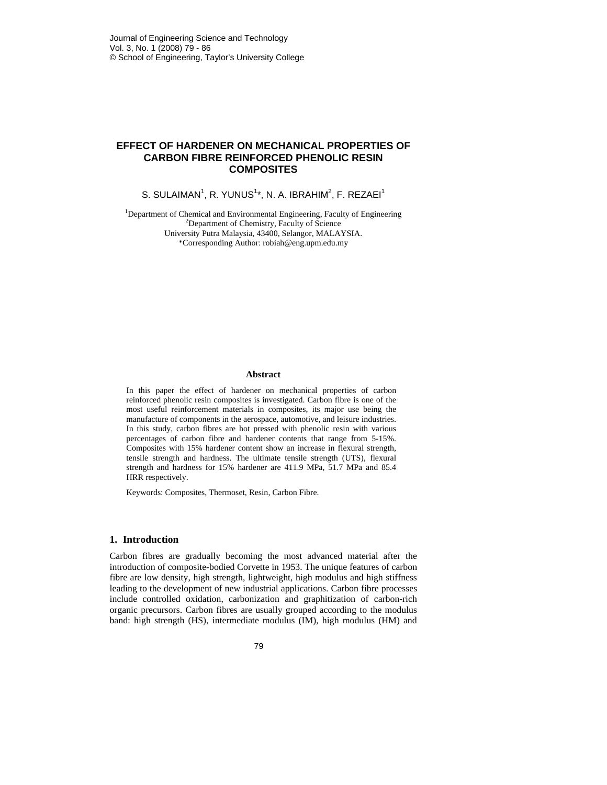# **EFFECT OF HARDENER ON MECHANICAL PROPERTIES OF CARBON FIBRE REINFORCED PHENOLIC RESIN COMPOSITES**

S. SULAIMAN $^1$ , R. YUNUS $^1*$ , N. A. IBRAHIM $^2$ , F. REZAEI $^1$ 

<sup>1</sup>Department of Chemical and Environmental Engineering, Faculty of Engineering <sup>2</sup>Department of Chemistry, Faculty of Science University Putra Malaysia, 43400, Selangor, MALAYSIA. \*Corresponding Author: robiah@eng.upm.edu.my

#### **Abstract**

In this paper the effect of hardener on mechanical properties of carbon reinforced phenolic resin composites is investigated. Carbon fibre is one of the most useful reinforcement materials in composites, its major use being the manufacture of components in the aerospace, automotive, and leisure industries. In this study, carbon fibres are hot pressed with phenolic resin with various percentages of carbon fibre and hardener contents that range from 5-15%. Composites with 15% hardener content show an increase in flexural strength, tensile strength and hardness. The ultimate tensile strength (UTS), flexural strength and hardness for 15% hardener are 411.9 MPa, 51.7 MPa and 85.4 HRR respectively.

Keywords: Composites, Thermoset, Resin, Carbon Fibre.

## **1. Introduction**

Carbon fibres are gradually becoming the most advanced material after the introduction of composite-bodied Corvette in 1953. The unique features of carbon fibre are low density, high strength, lightweight, high modulus and high stiffness leading to the development of new industrial applications. Carbon fibre processes include controlled oxidation, carbonization and graphitization of carbon-rich organic precursors. Carbon fibres are usually grouped according to the modulus band: high strength (HS), intermediate modulus (IM), high modulus (HM) and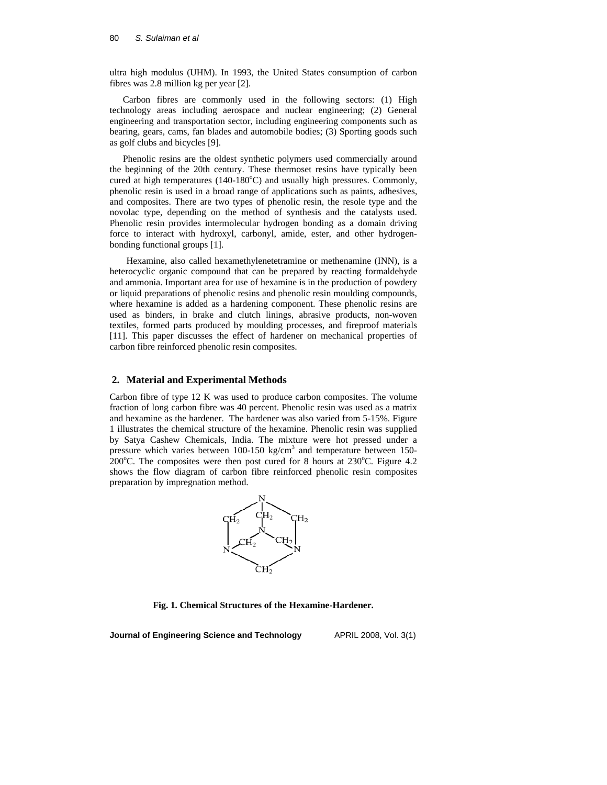#### 80 *S. Sulaiman et al*

ultra high modulus (UHM). In 1993, the United States consumption of carbon fibres was 2.8 million kg per year [2].

Carbon fibres are commonly used in the following sectors: (1) High technology areas including aerospace and nuclear engineering; (2) General engineering and transportation sector, including engineering components such as bearing, gears, cams, fan blades and automobile bodies; (3) Sporting goods such as golf clubs and bicycles [9].

Phenolic resins are the oldest synthetic polymers used commercially around the beginning of the 20th century. These thermoset resins have typically been cured at high temperatures (140-180°C) and usually high pressures. Commonly, phenolic resin is used in a broad range of applications such as paints, adhesives, and composites. There are two types of phenolic resin, the resole type and the novolac type, depending on the method of synthesis and the catalysts used. Phenolic resin provides intermolecular hydrogen bonding as a domain driving force to interact with hydroxyl, carbonyl, amide, ester, and other hydrogenbonding functional groups [1].

Hexamine, also called hexamethylenetetramine or methenamine (INN), is a heterocyclic organic compound that can be prepared by reacting formaldehyde and ammonia. Important area for use of hexamine is in the production of powdery or liquid preparations of phenolic resins and phenolic resin moulding compounds, where hexamine is added as a hardening component. These phenolic resins are used as binders, in brake and clutch linings, abrasive products, non-woven textiles, formed parts produced by moulding processes, and fireproof materials [11]. This paper discusses the effect of hardener on mechanical properties of carbon fibre reinforced phenolic resin composites.

### **2. Material and Experimental Methods**

Carbon fibre of type 12 K was used to produce carbon composites. The volume fraction of long carbon fibre was 40 percent. Phenolic resin was used as a matrix and hexamine as the hardener. The hardener was also varied from 5-15%. Figure 1 illustrates the chemical structure of the hexamine. Phenolic resin was supplied by Satya Cashew Chemicals, India. The mixture were hot pressed under a pressure which varies between  $100-150 \text{ kg/cm}^3$  and temperature between 150-200°C. The composites were then post cured for 8 hours at 230°C. Figure 4.2 shows the flow diagram of carbon fibre reinforced phenolic resin composites preparation by impregnation method.



**Fig. 1. Chemical Structures of the Hexamine-Hardener.**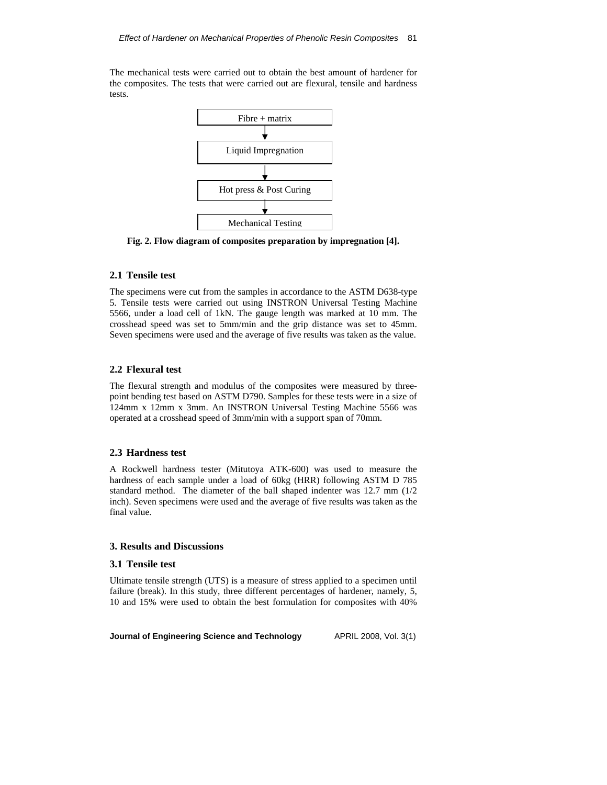The mechanical tests were carried out to obtain the best amount of hardener for the composites. The tests that were carried out are flexural, tensile and hardness tests.



**Fig. 2. Flow diagram of composites preparation by impregnation [4].** 

# **2.1 Tensile test**

The specimens were cut from the samples in accordance to the ASTM D638-type 5. Tensile tests were carried out using INSTRON Universal Testing Machine 5566, under a load cell of 1kN. The gauge length was marked at 10 mm. The crosshead speed was set to 5mm/min and the grip distance was set to 45mm. Seven specimens were used and the average of five results was taken as the value.

#### **2.2 Flexural test**

The flexural strength and modulus of the composites were measured by threepoint bending test based on ASTM D790. Samples for these tests were in a size of 124mm x 12mm x 3mm. An INSTRON Universal Testing Machine 5566 was operated at a crosshead speed of 3mm/min with a support span of 70mm.

### **2.3 Hardness test**

A Rockwell hardness tester (Mitutoya ATK-600) was used to measure the hardness of each sample under a load of 60kg (HRR) following ASTM D 785 standard method. The diameter of the ball shaped indenter was 12.7 mm (1/2 inch). Seven specimens were used and the average of five results was taken as the final value.

#### **3. Results and Discussions**

### **3.1 Tensile test**

Ultimate tensile strength (UTS) is a measure of stress applied to a specimen until failure (break). In this study, three different percentages of hardener, namely, 5, 10 and 15% were used to obtain the best formulation for composites with 40%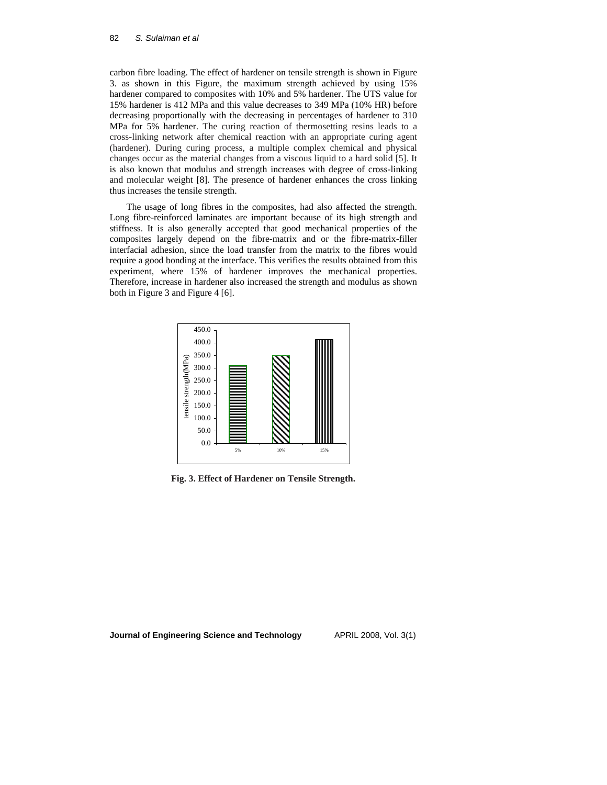#### 82 *S. Sulaiman et al*

carbon fibre loading. The effect of hardener on tensile strength is shown in Figure 3. as shown in this Figure, the maximum strength achieved by using 15% hardener compared to composites with 10% and 5% hardener. The UTS value for 15% hardener is 412 MPa and this value decreases to 349 MPa (10% HR) before decreasing proportionally with the decreasing in percentages of hardener to 310 MPa for 5% hardener. The curing reaction of thermosetting resins leads to a cross-linking network after chemical reaction with an appropriate curing agent (hardener). During curing process, a multiple complex chemical and physical changes occur as the material changes from a viscous liquid to a hard solid [5]. It is also known that modulus and strength increases with degree of cross-linking and molecular weight [8]. The presence of hardener enhances the cross linking thus increases the tensile strength.

The usage of long fibres in the composites, had also affected the strength. Long fibre-reinforced laminates are important because of its high strength and stiffness. It is also generally accepted that good mechanical properties of the composites largely depend on the fibre-matrix and or the fibre-matrix-filler interfacial adhesion, since the load transfer from the matrix to the fibres would require a good bonding at the interface. This verifies the results obtained from this experiment, where 15% of hardener improves the mechanical properties. Therefore, increase in hardener also increased the strength and modulus as shown both in Figure 3 and Figure 4 [6].



**Fig. 3. Effect of Hardener on Tensile Strength.**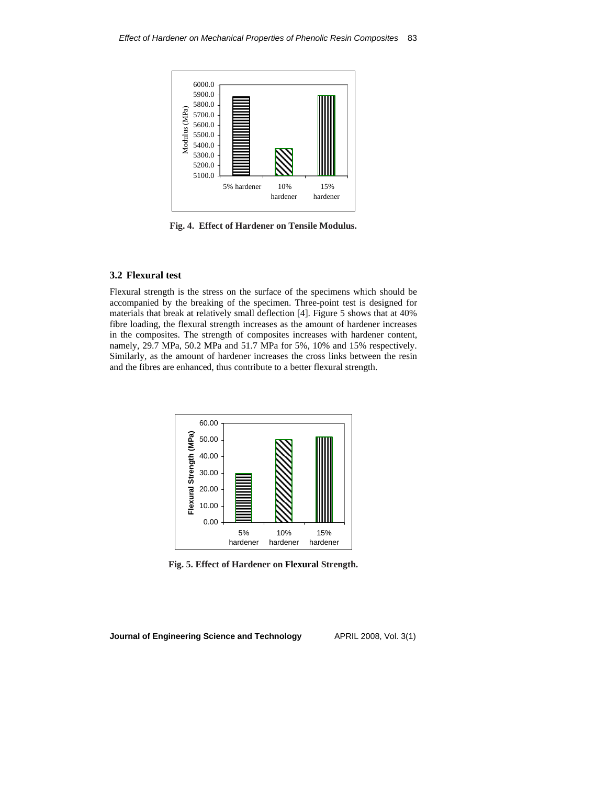

**Fig. 4. Effect of Hardener on Tensile Modulus.** 

# **3.2 Flexural test**

Flexural strength is the stress on the surface of the specimens which should be accompanied by the breaking of the specimen. Three-point test is designed for materials that break at relatively small deflection [4]. Figure 5 shows that at 40% fibre loading, the flexural strength increases as the amount of hardener increases in the composites. The strength of composites increases with hardener content, namely, 29.7 MPa, 50.2 MPa and 51.7 MPa for 5%, 10% and 15% respectively. Similarly, as the amount of hardener increases the cross links between the resin and the fibres are enhanced, thus contribute to a better flexural strength.



**Fig. 5. Effect of Hardener on Flexural Strength.**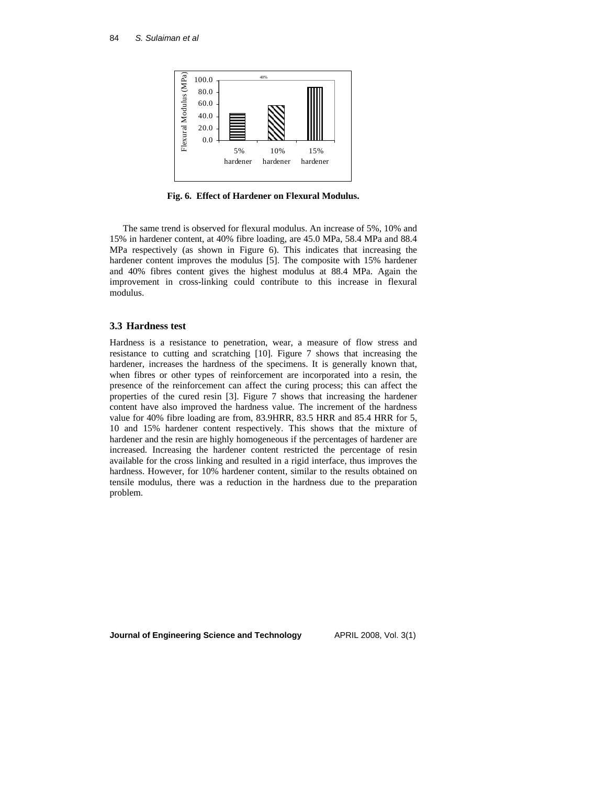

**Fig. 6. Effect of Hardener on Flexural Modulus.** 

The same trend is observed for flexural modulus. An increase of 5%, 10% and 15% in hardener content, at 40% fibre loading, are 45.0 MPa, 58.4 MPa and 88.4 MPa respectively (as shown in Figure 6). This indicates that increasing the hardener content improves the modulus [5]. The composite with 15% hardener and 40% fibres content gives the highest modulus at 88.4 MPa. Again the improvement in cross-linking could contribute to this increase in flexural modulus.

## **3.3 Hardness test**

Hardness is a resistance to penetration, wear, a measure of flow stress and resistance to cutting and scratching [10]. Figure 7 shows that increasing the hardener, increases the hardness of the specimens. It is generally known that, when fibres or other types of reinforcement are incorporated into a resin, the presence of the reinforcement can affect the curing process; this can affect the properties of the cured resin [3]. Figure 7 shows that increasing the hardener content have also improved the hardness value. The increment of the hardness value for 40% fibre loading are from, 83.9HRR, 83.5 HRR and 85.4 HRR for 5, 10 and 15% hardener content respectively. This shows that the mixture of hardener and the resin are highly homogeneous if the percentages of hardener are increased. Increasing the hardener content restricted the percentage of resin available for the cross linking and resulted in a rigid interface, thus improves the hardness. However, for 10% hardener content, similar to the results obtained on tensile modulus, there was a reduction in the hardness due to the preparation problem.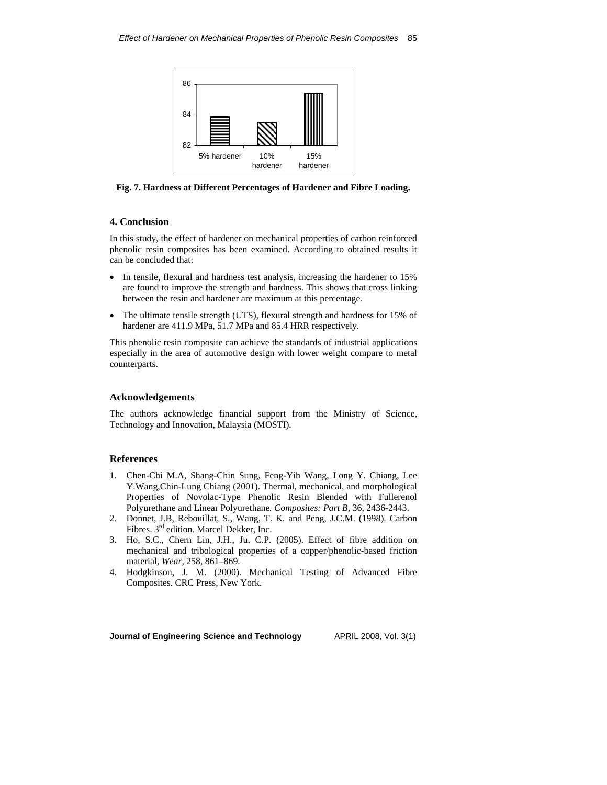

**Fig. 7. Hardness at Different Percentages of Hardener and Fibre Loading.** 

### **4. Conclusion**

In this study, the effect of hardener on mechanical properties of carbon reinforced phenolic resin composites has been examined. According to obtained results it can be concluded that:

- In tensile, flexural and hardness test analysis, increasing the hardener to 15% are found to improve the strength and hardness. This shows that cross linking between the resin and hardener are maximum at this percentage.
- The ultimate tensile strength (UTS), flexural strength and hardness for 15% of hardener are 411.9 MPa, 51.7 MPa and 85.4 HRR respectively.

This phenolic resin composite can achieve the standards of industrial applications especially in the area of automotive design with lower weight compare to metal counterparts.

#### **Acknowledgements**

The authors acknowledge financial support from the Ministry of Science, Technology and Innovation, Malaysia (MOSTI).

#### **References**

- 1. Chen-Chi M.A, Shang-Chin Sung, Feng-Yih Wang, Long Y. Chiang, Lee Y.Wang,Chin-Lung Chiang (2001). Thermal, mechanical, and morphological Properties of Novolac-Type Phenolic Resin Blended with Fullerenol Polyurethane and Linear Polyurethane*. Composites: Part B,* 36, 2436-2443.
- 2. Donnet, J.B, Rebouillat, S., Wang, T. K. and Peng, J.C.M. (1998). Carbon Fibres. 3rd edition. Marcel Dekker, Inc.
- 3. Ho, S.C., Chern Lin, J.H., Ju, C.P. (2005). Effect of fibre addition on mechanical and tribological properties of a copper/phenolic-based friction material, *Wear,* 258, 861–869.
- 4. Hodgkinson, J. M. (2000). Mechanical Testing of Advanced Fibre Composites. CRC Press, New York.